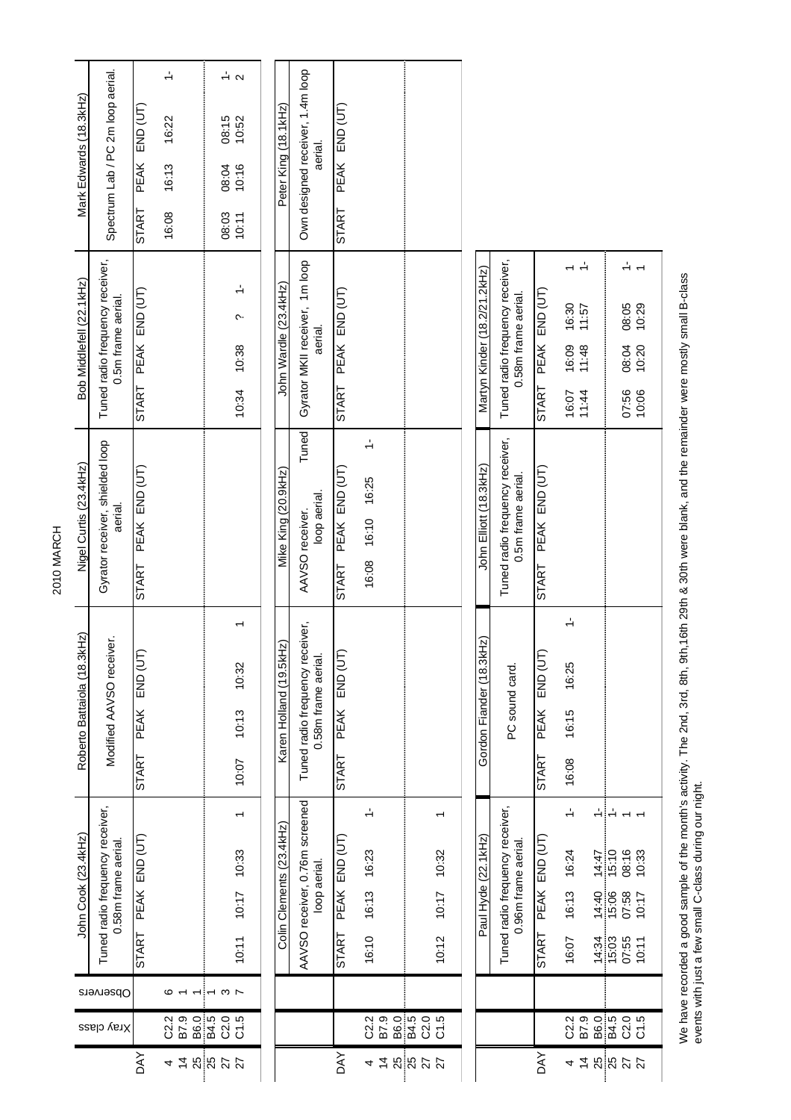|                 |                                                                                                                                       |                    | John Cook (23.4kHz)                                    | Roberto Battaiola (18.3kHz)                           | Nigel Curtis (23.4kHz)                                | Bob Middlefell (22.1kHz)                                | Mark Edwards (18.3kHz)                                                       |
|-----------------|---------------------------------------------------------------------------------------------------------------------------------------|--------------------|--------------------------------------------------------|-------------------------------------------------------|-------------------------------------------------------|---------------------------------------------------------|------------------------------------------------------------------------------|
|                 | Observers<br>Xray class                                                                                                               |                    | Tuned radio frequency receiver,<br>0.58m frame aerial. | Modified AAVSO receiver.                              | Gyrator receiver, shielded loop<br>aerial.            | Tuned radio frequency receiver,<br>0.5m frame aerial.   | Spectrum Lab / PC 2m loop aerial.                                            |
| <b>AY</b>       |                                                                                                                                       | START              | PEAK END (UT)                                          | <b>END (U</b><br>PEAK<br>START                        | PEAK END (UT)<br><b>START</b>                         | PEAK END (UT)<br><b>START</b>                           | END (UT)<br>PEAK<br>START                                                    |
| 4 Z             | ဇ<br>. .<br>2<br>2 2 3 4<br>2 3 4 2 2                                                                                                 |                    |                                                        |                                                       |                                                       |                                                         | $\frac{1}{2}$<br>16:22<br>16:13<br>16:08                                     |
|                 |                                                                                                                                       |                    |                                                        |                                                       |                                                       |                                                         |                                                                              |
| <b>25 25 26</b> | $\mathbf{r} \cdot \mathbf{r}$<br>C2.0<br>C1.5                                                                                         | 10:11              | $\overline{\phantom{0}}$<br>10:33<br>10:17             | 10:32<br>10:13<br>10:07                               |                                                       | $\div$<br>Ĉ.<br>10:38<br>10:34                          | $\frac{1}{2}$ $\alpha$<br>08:15<br>10:52<br>10:16<br>08:04<br>08:03<br>10:11 |
|                 |                                                                                                                                       |                    |                                                        |                                                       |                                                       |                                                         |                                                                              |
|                 |                                                                                                                                       |                    | Colin Clements (23.4kHz)                               | Karen Holland (19.5kHz)                               | Mike King (20.9kHz)                                   | John Wardle (23.4kHz)                                   | Peter King (18.1kHz)                                                         |
|                 |                                                                                                                                       |                    | AAVSO receiver, 0.76m screened<br>loop aerial.         | Tuned radio frequency receiver,<br>0.58m frame aerial | Tuned<br>loop aerial.<br>AAVSO receiver.              | Gyrator MKII receiver, 1m loop<br>aerial.               | Own designed receiver, 1.4m loop<br>aerial.                                  |
| <b>AX</b>       |                                                                                                                                       | START              | PEAK END (UT)                                          | END (U<br>PEAK<br>START                               | PEAK END (UT)<br>START                                | PEAK END (UT)<br><b>START</b>                           | END (UT)<br><b>PEAK</b><br><b>START</b>                                      |
| 4               | $\begin{array}{ccc}\n 2 & 0 & 0 & 0 & 0 & 0 \\ 2 & 0 & 0 & 0 & 0 & 0 \\ 3 & 0 & 0 & 0 & 0 & 0 \\ 4 & 0 & 0 & 0 & 0 & 0\n \end{array}$ | 16:10              | $\div$<br>16:23<br>16:13                               |                                                       | $\div$<br>16:10 16:25<br>16:08                        |                                                         |                                                                              |
|                 |                                                                                                                                       |                    |                                                        |                                                       |                                                       |                                                         |                                                                              |
| 48872           |                                                                                                                                       | 10:12              | 10:32<br>10:17                                         |                                                       |                                                       |                                                         |                                                                              |
|                 |                                                                                                                                       |                    |                                                        |                                                       |                                                       |                                                         |                                                                              |
|                 |                                                                                                                                       |                    | Paul Hyde (22.1kHz)                                    | kHz)<br>Gordon Fiander (18.3)                         | John Elliott (18.3kHz)                                | Martyn Kinder (18.2/21.2kHz)                            |                                                                              |
|                 |                                                                                                                                       |                    | Tuned radio frequency receiver,<br>0.96m frame aerial. | PC sound card                                         | Tuned radio frequency receiver,<br>0.5m frame aerial. | Tuned radio frequency receiver,<br>0.58m frame aerial.  |                                                                              |
| <b>AVO</b>      |                                                                                                                                       | START              | PEAK END (UT                                           | END (U<br>PEAK<br>START                               | PEAK END (UT)<br><b>START</b>                         | PEAK END (UT)<br><b>START</b>                           |                                                                              |
| 4               | 02.9<br>B7.9                                                                                                                          | 16:07              | $\div$<br>16:24<br>16:13                               | $\div$<br>16:25<br>16:15<br>16:08                     |                                                       | ÷<br>16:30<br>11:57<br>16:09<br>11:48<br>16:07<br>11:44 |                                                                              |
|                 |                                                                                                                                       |                    | $\div \div$                                            |                                                       |                                                       |                                                         |                                                                              |
|                 |                                                                                                                                       | $14:34$<br>$15:03$ | $14:47$<br>15:10<br>14:40<br>15:06                     |                                                       |                                                       |                                                         |                                                                              |
| ねぬぬみみ           | 86.0<br>84.0 0<br>84.0 0<br>0 0 0                                                                                                     | 07:55<br>10:11     | 08:16<br>07:58                                         |                                                       |                                                       | 08:05<br>10:29<br>08:04<br>10:20<br>07:56<br>10:06      |                                                                              |
|                 |                                                                                                                                       |                    | 10:33<br>10:17                                         |                                                       |                                                       |                                                         |                                                                              |

We have recorded a good sample of the month's activity. The 2nd, 3rd, 8th, 9th,16th 29th & 30th were blank, and the remainder were mostly small B-class<br>events with just a few small C-class during our night. We have recorded a good sample of the month's activity. The 2nd, 3rd, 8th, 9th,16th 29th & 30th were blank, and the remainder were mostly small B-class events with just a few small C-class during our night.

27 C2.0 07:55 07:58 08:16 1 07:56 08:04 08:05 1- 10:11 C1.5 C1.5 C1.5 C1.5 C1.5 C1.7 10:33 1 C2.29 1 C3.33 1 C3.33 1 C3.29 1 C3.29 1 C4.5 C1.20 10:20 10:20 10:20

2010 MARCH